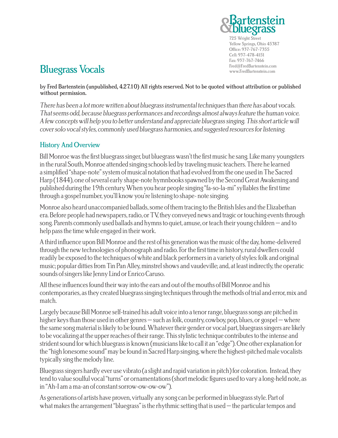

725 Wright Street Yellow Springs, Ohio 45387 Office: 937-767-7355 Cell: 937-478-4151 Fax: 937-767-7466

# Fred@FredBartenstein.com Bluegrass Vocals www.FredBartenstein.com

by Fred Bartenstein (unpublished, 4.27.10) All rights reserved. Not to be quoted without attribution or published without permission.

There has been a lot more written about bluegrass instrumental techniques than there has about vocals. That seems odd, because bluegrass performances and recordings almost always feature the human voice. A few concepts will help you to better understand and appreciate bluegrass singing. This short article will cover solo vocal styles, commonly used bluegrass harmonies, and suggested resources for listening.

#### History And Overview

Bill Monroe was the first bluegrass singer, but bluegrass wasn't the first music he sang. Like many youngsters in the rural South, Monroe attended singing schools led by traveling music teachers. There he learned a simplified "shape-note" system of musical notation that had evolved from the one used in The Sacred Harp (1844), one of several early shape-note hymnbooks spawned by the Second Great Awakening and published during the 19th century. When you hear people singing "fa-so-la-mi" syllables the first time through a gospel number, you'll know you're listening to shape- note singing.

Monroe also heard unaccompanied ballads, some of them tracing to the British Isles and the Elizabethan era. Before people had newspapers, radio, or TV, they conveyed news and tragic or touching events through song. Parents commonly used ballads and hymns to quiet, amuse, or teach their young children – and to help pass the time while engaged in their work.

A third influence upon Bill Monroe and the rest of his generation was the music of the day, home-delivered through the new technologies of phonograph and radio. For the first time in history, rural dwellers could readily be exposed to the techniques of white and black performers in a variety of styles: folk and original music; popular ditties from Tin Pan Alley, minstrel shows and vaudeville; and, at least indirectly, the operatic sounds of singers like Jenny Lind or Enrico Caruso.

All these influences found their way into the ears and out of the mouths of Bill Monroe and his contemporaries, as they created bluegrass singing techniques through the methods of trial and error, mix and match.

Largely because Bill Monroe self-trained his adult voice into a tenor range, bluegrass songs are pitched in higher keys than those used in other genres – such as folk, country, cowboy, pop, blues, or gospel – where the same song material is likely to be found. Whatever their gender or vocal part, bluegrass singers are likely to be vocalizing at the upper reaches of their range. This stylistic technique contributes to the intense and strident sound for which bluegrass is known (musicians like to call it an "edge"). One other explanation for the "high lonesome sound" may be found in Sacred Harp singing, where the highest-pitched male vocalists typically sing the melody line.

Bluegrass singers hardly ever use vibrato (a slight and rapid variation in pitch) for coloration. Instead, they tend to value soulful vocal "turns" or ornamentations (short melodic figures used to vary a long-held note, as in "Ah-I am a ma-an of constant sorrow-ow-ow-ow").

As generations of artists have proven, virtually any song can be performed in bluegrass style. Part of what makes the arrangement "bluegrass" is the rhythmic setting that is used – the particular tempos and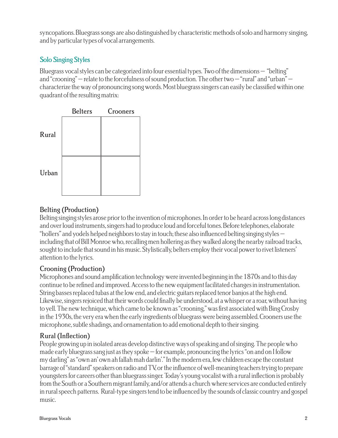syncopations. Bluegrass songs are also distinguished by characteristic methods of solo and harmony singing, and by particular types of vocal arrangements.

# Solo Singing Styles

Bluegrass vocal styles can be categorized into four essential types. Two of the dimensions – "belting" and "crooning" – relate to the forcefulness of sound production. The other two – "rural" and "urban" – characterize the way of pronouncing song words. Most bluegrass singers can easily be classified within one quadrant of the resulting matrix:



## Belting (Production)

Belting singing styles arose prior to the invention of microphones. In order to be heard across long distances and over loud instruments, singers had to produce loud and forceful tones. Before telephones, elaborate "hollers" and yodels helped neighbors to stay in touch; these also influenced belting singing styles – including that of Bill Monroe who, recalling men hollering as they walked along the nearby railroad tracks, sought to include that sound in his music. Stylistically, belters employ their vocal power to rivet listeners' attention to the lyrics.

## Crooning (Production)

Microphones and sound amplification technology were invented beginning in the 1870s and to this day continue to be refined and improved. Access to the new equipment facilitated changes in instrumentation. String basses replaced tubas at the low end, and electric guitars replaced tenor banjos at the high end. Likewise, singers rejoiced that their words could finally be understood, at a whisper or a roar, without having to yell. The new technique, which came to be known as "crooning," was first associated with Bing Crosby in the 1930s, the very era when the early ingredients of bluegrass were being assembled. Crooners use the microphone, subtle shadings, and ornamentation to add emotional depth to their singing.

## Rural (Inflection)

People growing up in isolated areas develop distinctive ways of speaking and of singing. The people who made early bluegrass sang just as they spoke – for example, pronouncing the lyrics "on and on I follow my darling" as "own an' own ah fallah mah darlin'." In the modern era, few children escape the constant barrage of "standard" speakers on radio and TV, or the influence of well-meaning teachers trying to prepare youngsters for careers other than bluegrass singer. Today's young vocalist with a rural inflection is probably from the South or a Southern migrant family, and/or attends a church where services are conducted entirely in rural speech patterns. Rural-type singers tend to be influenced by the sounds of classic country and gospel music.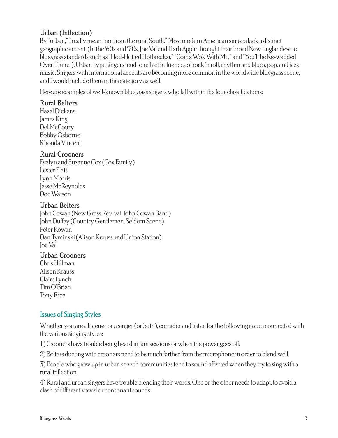# Urban (Inflection)

By "urban," I really mean "not from the rural South." Most modern American singers lack a distinct geographic accent. (In the '60s and '70s, Joe Val and Herb Applin brought their broad New Englandese to bluegrass standards such as "Hod-Hotted Hotbreaker," "Come Wok With Me," and "You'll be Re-wadded Over There"). Urban-type singers tend to reflect influences of rock 'n roll, rhythm and blues, pop, and jazz music. Singers with international accents are becoming more common in the worldwide bluegrass scene, and I would include them in this category as well.

Here are examples of well-known bluegrass singers who fall within the four classifications:

## Rural Belters

Hazel Dickens James King Del McCoury Bobby Osborne Rhonda Vincent

#### Rural Crooners

Evelyn and Suzanne Cox (Cox Family) Lester Flatt Lynn Morris Jesse McReynolds Doc Watson

#### Urban Belters

John Cowan (New Grass Revival, John Cowan Band) John Duffey (Country Gentlemen, Seldom Scene) Peter Rowan Dan Tyminski (Alison Krauss and Union Station) Joe Val

#### Urban Crooners

Chris Hillman Alison Krauss Claire Lynch Tim O'Brien Tony Rice

## Issues of Singing Styles

Whether you are a listener or a singer (or both), consider and listen for the following issues connected with the various singing styles:

1) Crooners have trouble being heard in jam sessions or when the power goes off.

2) Belters dueting with crooners need to be much farther from the microphone in order to blend well.

3) People who grow up in urban speech communities tend to sound affected when they try to sing with a rural inflection.

4) Rural and urban singers have trouble blending their words. One or the other needs to adapt, to avoid a clash of different vowel or consonant sounds.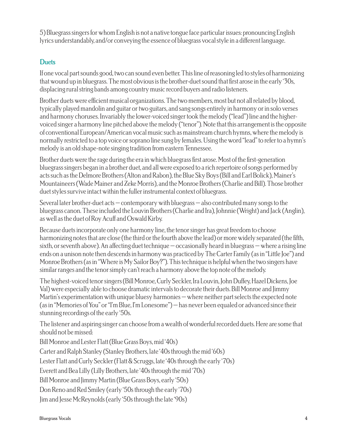5) Bluegrass singers for whom English is not a native tongue face particular issues: pronouncing English lyrics understandably, and/or conveying the essence of bluegrass vocal style in a different language.

# **Duets**

If one vocal part sounds good, two can sound even better. This line of reasoning led to styles of harmonizing that wound up in bluegrass. The most obvious is the brother-duet sound that first arose in the early '30s, displacing rural string bands among country music record buyers and radio listeners.

Brother duets were efficient musical organizations. The two members, most but not all related by blood, typically played mandolin and guitar or two guitars, and sang songs entirely in harmony or in solo verses and harmony choruses. Invariably the lower-voiced singer took the melody ("lead") line and the highervoiced singer a harmony line pitched above the melody ("tenor"). Note that this arrangement is the opposite of conventional European/American vocal music such as mainstream church hymns, where the melody is normally restricted to a top voice or soprano line sung by females. Using the word "lead" to refer to a hymn's melody is an old shape-note singing tradition from eastern Tennessee.

Brother duets were the rage during the era in which bluegrass first arose. Most of the first-generation bluegrass singers began in a brother duet, and all were exposed to a rich repertoire of songs performed by acts such as the Delmore Brothers (Alton and Rabon), the Blue Sky Boys (Bill and Earl Bolick), Mainer's Mountaineers (Wade Mainer and Zeke Morris), and the Monroe Brothers (Charlie and Bill). Those brother duet styles survive intact within the fuller instrumental context of bluegrass.

Several later brother-duet acts – contemporary with bluegrass – also contributed many songs to the bluegrass canon. These included the Louvin Brothers (Charlie and Ira), Johnnie (Wright) and Jack (Anglin), as well as the duet of Roy Acuff and Oswald Kirby.

Because duets incorporate only one harmony line, the tenor singer has great freedom to choose harmonizing notes that are close (the third or the fourth above the lead) or more widely separated (the fifth, sixth, or seventh above). An affecting duet technique – occasionally heard in bluegrass – where a rising line ends on a unison note then descends in harmony was practiced by The Carter Family (as in "Little Joe") and Monroe Brothers (as in "Where is My Sailor Boy?"). This technique is helpful when the two singers have similar ranges and the tenor simply can't reach a harmony above the top note of the melody.

The highest-voiced tenor singers (Bill Monroe, Curly Seckler, Ira Louvin, John Duffey, Hazel Dickens, Joe Val) were especially able to choose dramatic intervals to decorate their duets. Bill Monroe and Jimmy Martin's experimentation with unique bluesy harmonies – where neither part selects the expected note (as in "Memories of You" or "I'm Blue, I'm Lonesome") – has never been equaled or advanced since their stunning recordings of the early '50s.

The listener and aspiring singer can choose from a wealth of wonderful recorded duets. Here are some that should not be missed:

Bill Monroe and Lester Flatt (Blue Grass Boys, mid '40s)

Carter and Ralph Stanley (Stanley Brothers, late '40s through the mid '60s)

Lester Flatt and Curly Seckler (Flatt & Scruggs, late '40s through the early '70s)

Everett and Bea Lilly (Lilly Brothers, late '40s through the mid '70s)

Bill Monroe and Jimmy Martin (Blue Grass Boys, early '50s)

Don Reno and Red Smiley (early '50s through the early '70s)

Jim and Jesse McReynolds (early '50s through the late '90s)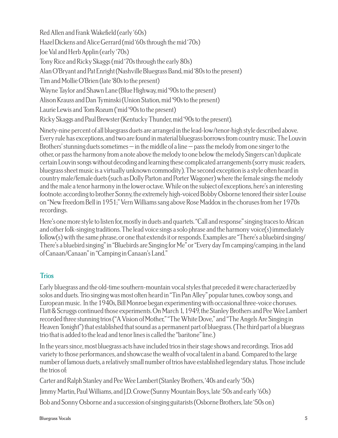Red Allen and Frank Wakefield (early '60s) Hazel Dickens and Alice Gerrard (mid '60s through the mid '70s) Joe Val and Herb Applin (early '70s) Tony Rice and Ricky Skaggs (mid '70s through the early 80s) Alan O'Bryant and Pat Enright (Nashville Bluegrass Band, mid '80s to the present) Tim and Mollie O'Brien (late '80s to the present) Wayne Taylor and Shawn Lane (Blue Highway, mid '90s to the present) Alison Krauss and Dan Tyminski (Union Station, mid '90s to the present) Laurie Lewis and Tom Rozum ('mid '90s to the present) Ricky Skaggs and Paul Brewster (Kentucky Thunder, mid '90s to the present).

Ninety-nine percent of all bluegrass duets are arranged in the lead-low/tenor-high style described above. Every rule has exceptions, and two are found in material bluegrass borrows from country music. The Louvin Brothers' stunning duets sometimes – in the middle of a line – pass the melody from one singer to the other, or pass the harmony from a note above the melody to one below the melody. Singers can't duplicate certain Louvin songs without decoding and learning these complicated arrangements (sorry music readers, bluegrass sheet music is a virtually unknown commodity). The second exception is a style often heard in country male/female duets (such as Dolly Parton and Porter Wagoner) where the female sings the melody and the male a tenor harmony in the lower octave. While on the subject of exceptions, here's an interesting footnote: according to brother Sonny, the extremely high-voiced Bobby Osborne tenored their sister Louise on "New Freedom Bell in 1951;" Vern Williams sang above Rose Maddox in the choruses from her 1970s recordings.

Here's one more style to listen for, mostly in duets and quartets. "Call and response" singing traces to African and other folk-singing traditions. The lead voice sings a solo phrase and the harmony voice(s) immediately follow(s) with the same phrase, or one that extends it or responds. Examples are "There's a bluebird singing/ There's a bluebird singing" in "Bluebirds are Singing for Me" or "Every day I'm camping/camping, in the land of Canaan/Canaan" in "Camping in Canaan's Land."

#### **Trios**

Early bluegrass and the old-time southern-mountain vocal styles that preceded it were characterized by solos and duets. Trio singing was most often heard in "Tin Pan Alley" popular tunes, cowboy songs, and European music. In the 1940s, Bill Monroe began experimenting with occasional three-voice choruses. Flatt & Scruggs continued those experiments. On March 1, 1949, the Stanley Brothers and Pee Wee Lambert recorded three stunning trios ("A Vision of Mother," "The White Dove," and "The Angels Are Singing in Heaven Tonight") that established that sound as a permanent part of bluegrass. (The third part of a bluegrass trio that is added to the lead and tenor lines is called the "baritone" line.)

In the years since, most bluegrass acts have included trios in their stage shows and recordings. Trios add variety to those performances, and showcase the wealth of vocal talent in a band. Compared to the large number of famous duets, a relatively small number of trios have established legendary status. Those include the trios of:

Carter and Ralph Stanley and Pee Wee Lambert (Stanley Brothers, '40s and early '50s) Jimmy Martin, Paul Williams, and J.D. Crowe (Sunny Mountain Boys, late '50s and early '60s) Bob and Sonny Osborne and a succession of singing guitarists (Osborne Brothers, late '50s on)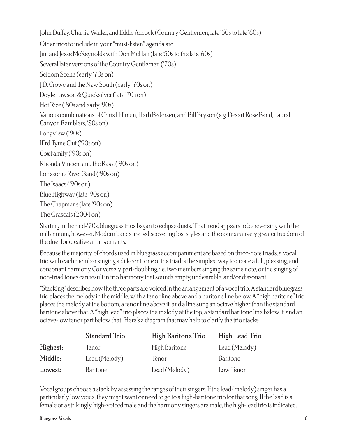John Duffey, Charlie Waller, and Eddie Adcock (Country Gentlemen, late '50s to late '60s)

Other trios to include in your "must-listen" agenda are:

Jim and Jesse McReynolds with Don McHan (late '50s to the late '60s)

Several later versions of the Country Gentlemen ('70s)

Seldom Scene (early '70s on)

J.D. Crowe and the New South (early '70s on)

Doyle Lawson & Quicksilver (late '70s on)

Hot Rize ('80s and early '90s)

Various combinations of Chris Hillman, Herb Pedersen, and Bill Bryson (e.g. Desert Rose Band, Laurel Canyon Ramblers, '80s on)

Longview ('90s)

IIIrd Tyme Out ('90s on)

Cox Family ('90s on)

Rhonda Vincent and the Rage ('90s on)

Lonesome River Band ('90s on)

The Isaacs ('90s on)

Blue Highway (late '90s on)

The Chapmans (late '90s on)

The Grascals (2004 on)

Starting in the mid-'70s, bluegrass trios began to eclipse duets. That trend appears to be reversing with the millennium, however. Modern bands are rediscovering lost styles and the comparatively greater freedom of the duet for creative arrangements.

Because the majority of chords used in bluegrass accompaniment are based on three-note triads, a vocal trio with each member singing a different tone of the triad is the simplest way to create a full, pleasing, and consonant harmony. Conversely, part-doubling, i.e. two members singing the same note, or the singing of non-triad tones can result in trio harmony that sounds empty, undesirable, and/or dissonant.

"Stacking" describes how the three parts are voiced in the arrangement of a vocal trio. A standard bluegrass trio places the melody in the middle, with a tenor line above and a baritone line below. A "high baritone" trio places the melody at the bottom, a tenor line above it, and a line sung an octave higher than the standard baritone above that. A "high lead" trio places the melody at the top, a standard baritone line below it, and an octave-low tenor part below that. Here's a diagram that may help to clarify the trio stacks:

|          | <b>Standard Trio</b> | High Baritone Trio | High Lead Trio |
|----------|----------------------|--------------------|----------------|
| Highest: | Tenor                | High Baritone      | Lead (Melody)  |
| Middle:  | Lead (Melody)        | Tenor              | Baritone       |
| Lowest:  | <b>Baritone</b>      | Lead (Melody)      | Low Tenor      |

Vocal groups choose a stack by assessing the ranges of their singers. If the lead (melody) singer has a particularly low voice, they might want or need to go to a high-baritone trio for that song. If the lead is a female or a strikingly high-voiced male and the harmony singers are male, the high-lead trio is indicated.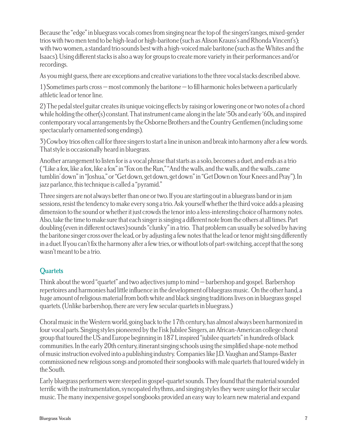Because the "edge" in bluegrass vocals comes from singing near the top of the singers'ranges, mixed-gender trios with two men tend to be high-lead or high-baritone (such as Alison Krauss's and Rhonda Vincent's); with two women, a standard trio sounds best with a high-voiced male baritone (such as the Whites and the Isaacs). Using different stacks is also a way for groups to create more variety in their performances and/or recordings.

As you might guess, there are exceptions and creative variations to the three vocal stacks described above.

1) Sometimes parts cross – most commonly the baritone – to fill harmonic holes between a particularly athletic lead or tenor line.

2) The pedal steel guitar creates its unique voicing effects by raising or lowering one or two notes of a chord while holding the other(s) constant. That instrument came along in the late '50s and early '60s, and inspired contemporary vocal arrangements by the Osborne Brothers and the Country Gentlemen (including some spectacularly ornamented song endings).

3) Cowboy trios often call for three singers to start a line in unison and break into harmony after a few words. That style is occasionally heard in bluegrass.

Another arrangement to listen for is a vocal phrase that starts as a solo, becomes a duet, and ends as a trio ( "Like a fox, like a fox, like a fox" in "Fox on the Run," "And the walls, and the walls, and the walls...came tumblin' down" in "Joshua," or "Get down, get down, get down" in "Get Down on Your Knees and Pray"). In jazz parlance, this technique is called a "pyramid."

Three singers are not always better than one or two. If you are starting out in a bluegrass band or in jam sessions, resist the tendency to make every song a trio. Ask yourself whether the third voice adds a pleasing dimension to the sound or whether it just crowds the tenor into a less-interesting choice of harmony notes. Also, take the time to make sure that each singer is singing a different note from the others at all times. Part doubling (even in different octaves) sounds "clunky" in a trio. That problem can usually be solved by having the baritone singer cross over the lead, or by adjusting a few notes that the lead or tenor might sing differently in a duet. If you can't fix the harmony after a few tries, or without lots of part-switching, accept that the song wasn't meant to be a trio.

## **Quartets**

Think about the word "quartet" and two adjectives jump to mind – barbershop and gospel. Barbershop repertoires and harmonies had little influence in the development of bluegrass music. On the other hand, a huge amount of religious material from both white and black singing traditions lives on in bluegrass gospel quartets. (Unlike barbershop, there are very few secular quartets in bluegrass.)

Choral music in the Western world, going back to the 17th century, has almost always been harmonized in four vocal parts. Singing styles pioneered by the Fisk Jubilee Singers, an African-American college choral group that toured the US and Europe beginning in 1871, inspired "jubilee quartets" in hundreds of black communities. In the early 20th century, itinerant singing schools using the simplified shape-note method of music instruction evolved into a publishing industry. Companies like J.D. Vaughan and Stamps-Baxter commissioned new religious songs and promoted their songbooks with male quartets that toured widely in the South.

Early bluegrass performers were steeped in gospel-quartet sounds. They found that the material sounded terrific with the instrumentation, syncopated rhythms, and singing styles they were using for their secular music. The many inexpensive gospel songbooks provided an easy way to learn new material and expand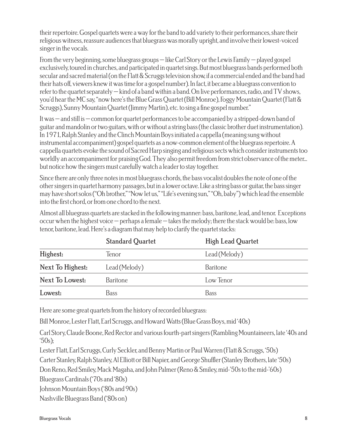their repertoire. Gospel quartets were a way for the band to add variety to their performances, share their religious witness, reassure audiences that bluegrass was morally upright, and involve their lowest-voiced singer in the vocals.

From the very beginning, some bluegrass groups – like Carl Story or the Lewis Family – played gospel exclusively, toured in churches, and participated in quartet sings. But most bluegrass bands performed both secular and sacred material (on the Flatt & Scruggs television show, if a commercial ended and the band had their hats off, viewers knew it was time for a gospel number). In fact, it became a bluegrass convention to refer to the quartet separately – kind of a band within a band. On live performances, radio, and TV shows, you'd hear the MC say, "now here's the Blue Grass Quartet (Bill Monroe), Foggy Mountain Quartet (Flatt & Scruggs), Sunny Mountain Quartet (Jimmy Martin), etc. to sing a fine gospel number."

It was – and still is – common for quartet performances to be accompanied by a stripped-down band of guitar and mandolin or two guitars, with or without a string bass (the classic brother duet instrumentation). In 1971, Ralph Stanley and the Clinch Mountain Boys initiated a cappella (meaning sung without instrumental accompaniment) gospel quartets as a now-common element of the bluegrass repertoire. A cappella quartets evoke the sound of Sacred Harp singing and religious sects which consider instruments too worldly an accompaniment for praising God. They also permit freedom from strict observance of the meter... but notice how the singers must carefully watch a leader to stay together.

Since there are only three notes in most bluegrass chords, the bass vocalist doubles the note of one of the other singers in quartet harmony passages, but in a lower octave. Like a string bass or guitar, the bass singer may have short solos ("Oh brother," "Now let us," "Life's evening sun," "Oh, baby") which lead the ensemble into the first chord, or from one chord to the next.

Almost all bluegrass quartets are stacked in the following manner: bass, baritone, lead, and tenor. Exceptions occur when the highest voice – perhaps a female – takes the melody; there the stack would be: bass, low tenor, baritone, lead. Here's a diagram that may help to clarify the quartet stacks:

|                  | <b>Standard Quartet</b> | High Lead Quartet |
|------------------|-------------------------|-------------------|
| Highest:         | Tenor                   | Lead (Melody)     |
| Next To Highest: | Lead (Melody)           | <b>Baritone</b>   |
| Next To Lowest:  | <b>Baritone</b>         | Low Tenor         |
| Lowest:          | Bass                    | Bass              |

Here are some great quartets from the history of recorded bluegrass:

Bill Monroe, Lester Flatt, Earl Scruggs, and Howard Watts (Blue Grass Boys, mid '40s)

Carl Story, Claude Boone, Red Rector and various fourth-part singers (Rambling Mountaineers, late '40s and  $50s$ ;

Lester Flatt, Earl Scruggs, Curly Seckler, and Benny Martin or Paul Warren (Flatt & Scruggs, '50s)

Carter Stanley, Ralph Stanley, Al Elliott or Bill Napier, and George Shuffler (Stanley Brothers, late '50s)

Don Reno, Red Smiley, Mack Magaha, and John Palmer (Reno & Smiley, mid-'50s to the mid-'60s)

Bluegrass Cardinals ('70s and '80s)

Johnson Mountain Boys ('80s and 90s)

Nashville Bluegrass Band ('80s on)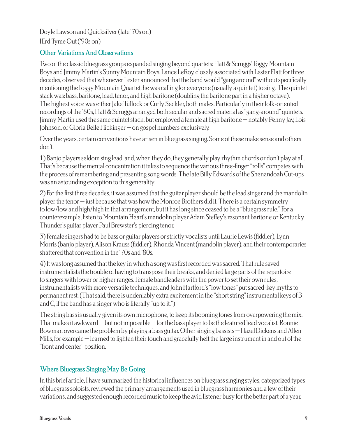Doyle Lawson and Quicksilver (late '70s on) IIIrd Tyme Out ('90s on)

#### Other Variations And Observations

Two of the classic bluegrass groups expanded singing beyond quartets: Flatt & Scruggs' Foggy Mountain Boys and Jimmy Martin's Sunny Mountain Boys. Lance LeRoy, closely associated with Lester Flatt for three decades, observed that whenever Lester announced that the band would "gang around" without specifically mentioning the Foggy Mountain Quartet, he was calling for everyone (usually a quintet) to sing. The quintet stack was: bass, baritone, lead, tenor, and high baritone (doubling the baritone part in a higher octave). The highest voice was either Jake Tullock or Curly Seckler, both males. Particularly in their folk-oriented recordings of the '60s, Flatt & Scruggs arranged both secular and sacred material as "gang-around" quintets. Jimmy Martin used the same quintet stack, but employed a female at high baritone – notably Penny Jay, Lois Johnson, or Gloria Belle Flickinger – on gospel numbers exclusively.

Over the years, certain conventions have arisen in bluegrass singing. Some of these make sense and others don't.

1) Banjo players seldom sing lead, and, when they do, they generally play rhythm chords or don't play at all. That's because the mental concentration it takes to sequence the various three-finger "rolls" competes with the process of remembering and presenting song words. The late Billy Edwards of the Shenandoah Cut-ups was an astounding exception to this generality.

2) For the first three decades, it was assumed that the guitar player should be the lead singer and the mandolin player the tenor – just because that was how the Monroe Brothers did it. There is a certain symmetry to low/low and high/high in that arrangement, but it has long since ceased to be a "bluegrass rule." For a counterexample, listen to Mountain Heart's mandolin player Adam Steffey's resonant baritone or Kentucky Thunder's guitar player Paul Brewster's piercing tenor.

3) Female singers had to be bass or guitar players or strictly vocalists until Laurie Lewis (fiddler), Lynn Morris (banjo player), Alison Krauss (fiddler), Rhonda Vincent (mandolin player), and their contemporaries shattered that convention in the '70s and '80s.

4) It was long assumed that the key in which a song was first recorded was sacred. That rule saved instrumentalists the trouble of having to transpose their breaks, and denied large parts of the repertoire to singers with lower or higher ranges. Female bandleaders with the power to set their own rules, instrumentalists with more versatile techniques, and John Hartford's "low tones" put sacred-key myths to permanent rest. (That said, there is undeniably extra excitement in the "short string" instrumental keys of B and C, if the band has a singer who is literally "up to it.")

The string bass is usually given its own microphone, to keep its booming tones from overpowering the mix. That makes it awkward – but not impossible – for the bass player to be the featured lead vocalist. Ronnie Bowman overcame the problem by playing a bass guitar. Other singing bassists – Hazel Dickens and Allen Mills, for example – learned to lighten their touch and gracefully heft the large instrument in and out of the "front and center" position.

## Where Bluegrass Singing May Be Going

In this brief article, I have summarized the historical influences on bluegrass singing styles, categorized types of bluegrass soloists, reviewed the primary arrangements used in bluegrass harmonies and a few of their variations, and suggested enough recorded music to keep the avid listener busy for the better part of a year.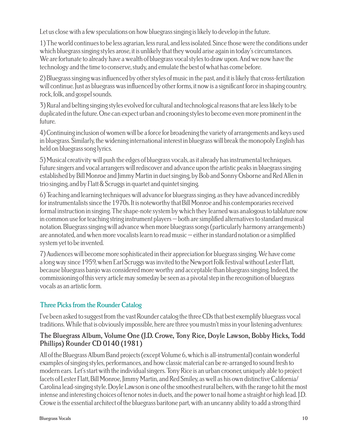Let us close with a few speculations on how bluegrass singing is likely to develop in the future.

1) The world continues to be less agrarian, less rural, and less isolated. Since those were the conditions under which bluegrass singing styles arose, it is unlikely that they would arise again in today's circumstances. We are fortunate to already have a wealth of bluegrass vocal styles to draw upon. And we now have the technology and the time to conserve, study, and emulate the best of what has come before.

2) Bluegrass singing was influenced by other styles of music in the past, and it is likely that cross-fertilization will continue. Just as bluegrass was influenced by other forms, it now is a significant force in shaping country, rock, folk, and gospel sounds.

3) Rural and belting singing styles evolved for cultural and technological reasons that are less likely to be duplicated in the future. One can expect urban and crooning styles to become even more prominent in the future.

4) Continuing inclusion of women will be a force for broadening the variety of arrangements and keys used in bluegrass. Similarly, the widening international interest in bluegrass will break the monopoly English has held on bluegrass song lyrics.

5) Musical creativity will push the edges of bluegrass vocals, as it already has instrumental techniques. Future singers and vocal arrangers will rediscover and advance upon the artistic peaks in bluegrass singing established by Bill Monroe and Jimmy Martin in duet singing, by Bob and Sonny Osborne and Red Allen in trio singing, and by Flatt & Scruggs in quartet and quintet singing.

6) Teaching and learning techniques will advance for bluegrass singing, as they have advanced incredibly for instrumentalists since the 1970s. It is noteworthy that Bill Monroe and his contemporaries received formal instruction in singing. The shape-note system by which they learned was analogous to tablature now in common use for teaching string instrument players – both are simplified alternatives to standard musical notation. Bluegrass singing will advance when more bluegrass songs (particularly harmony arrangements) are annotated, and when more vocalists learn to read music – either in standard notation or a simplified system yet to be invented.

7) Audiences will become more sophisticated in their appreciation for bluegrass singing. We have come a long way since 1959, when Earl Scruggs was invited to the Newport Folk Festival without Lester Flatt, because bluegrass banjo was considered more worthy and acceptable than bluegrass singing. Indeed, the commissioning of this very article may someday be seen as a pivotal step in the recognition of bluegrass vocals as an artistic form.

# Three Picks from the Rounder Catalog

I've been asked to suggest from the vast Rounder catalog the three CDs that best exemplify bluegrass vocal traditions. While that is obviously impossible, here are three you mustn't miss in your listening adventures:

## The Bluegrass Album, Volume One (J.D. Crowe, Tony Rice, Doyle Lawson, Bobby Hicks, Todd Phillips) Rounder CD 0140 (1981)

All of the Bluegrass Album Band projects (except Volume 6, which is all-instrumental) contain wonderful examples of singing styles, performances, and how classic material can be re-arranged to sound fresh to modern ears. Let's start with the individual singers. Tony Rice is an urban crooner, uniquely able to project facets of Lester Flatt, Bill Monroe, Jimmy Martin, and Red Smiley, as well as his own distinctive California/ Carolina lead-singing style. Doyle Lawson is one of the smoothest rural belters, with the range to hit the most intense and interesting choices of tenor notes in duets, and the power to nail home a straight or high lead. J.D. Crowe is the essential architect of the bluegrass baritone part, with an uncanny ability to add a strong third